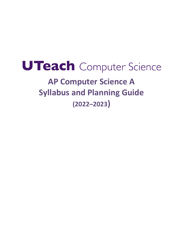# UTeach Computer Science **AP Computer Science A Syllabus and Planning Guide (2022–2023)**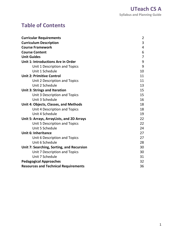## <span id="page-1-0"></span>**Table of Contents**

| <b>Curricular Requirements</b>              | $\overline{2}$ |
|---------------------------------------------|----------------|
| <b>Curriculum Description</b>               | 3              |
| <b>Course Framework</b>                     | 4              |
| <b>Course Content</b>                       | 6              |
| <b>Unit Guides</b>                          | $\overline{7}$ |
| Unit 1: Introductions Are in Order          | 9              |
| Unit 1 Description and Topics               | 9              |
| Unit 1 Schedule                             | 10             |
| <b>Unit 2: Primitive Control</b>            | 11             |
| Unit 2 Description and Topics               | 11             |
| Unit 2 Schedule                             | 13             |
| <b>Unit 3: Strings and Iteration</b>        | 15             |
| Unit 3 Description and Topics               | 15             |
| Unit 3 Schedule                             | 16             |
| Unit 4: Objects, Classes, and Methods       | 18             |
| Unit 4 Description and Topics               | 18             |
| Unit 4 Schedule                             | 19             |
| Unit 5: Arrays, ArrayLists, and 2D Arrays   | 22             |
| Unit 5 Description and Topics               | 22             |
| Unit 5 Schedule                             | 24             |
| <b>Unit 6: Inheritance</b>                  | 27             |
| Unit 6 Description and Topics               | 27             |
| Unit 6 Schedule                             | 28             |
| Unit 7: Searching, Sorting, and Recursion   | 30             |
| Unit 7 Description and Topics               | 30             |
| Unit 7 Schedule                             | 31             |
| <b>Pedagogical Approaches</b>               | 32             |
| <b>Resources and Technical Requirements</b> | 36             |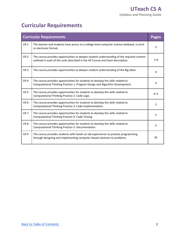## **Curricular Requirements**

|        | <b>Curricular Requirements</b>                                                                                                                                              | <b>Pages</b> |
|--------|-----------------------------------------------------------------------------------------------------------------------------------------------------------------------------|--------------|
| $CR-1$ | The teacher and students have access to a college-level computer science textbook, in print<br>or electronic format.                                                        | 3            |
| $CR-2$ | The course provides opportunities to deepen student understanding of the required content<br>outlined in each of the units described in the AP Course and Exam description. | $7 - 8$      |
| $CR-3$ | The course provides opportunities to deepen student understanding of the Big Ideas.                                                                                         | 6            |
| $CR-4$ | The course provides opportunities for students to develop the skills related to<br>Computational Thinking Practice 1: Program Design and Algorithm Development.             | 4            |
| $CR-5$ | The course provides opportunities for students to develop the skills related to<br>Computational Thinking Practice 2: Code Logic.                                           | $4 - 5$      |
| $CR-6$ | The course provides opportunities for students to develop the skills related to<br>Computational Thinking Practice 3: Code Implementation.                                  | 5            |
| $CR-7$ | The course provides opportunities for students to develop the skills related to<br>Computational Thinking Practice 4: Code Testing.                                         | 5            |
| $CR-8$ | The course provides opportunities for students to develop the skills related to<br>Computational Thinking Practice 5: Documentation.                                        | 5            |
| $CR-9$ | The course provides students with hands-on lab experiences to practice programming<br>through designing and implementing computer-based solutions to problems.              | 34           |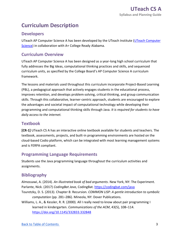## **Curriculum Description**

#### **Developers**

UTeach AP Computer Science A has been developed by the UTeach Institute (UTeach Computer [Science\)](https://cs.uteach.utexas.edu/) in collaboration with A+ College Ready Alabama.

#### **Curriculum Overview**

 UTeach AP Computer Science A has been designed as a year-long high school curriculum that fully addresses the Big Ideas, computational thinking practices and skills, and sequenced curriculum units, as specified by the College Board's AP Computer Science A curriculum framework.

 The lessons and materials used throughout this curriculum incorporate Project-Based Learning (PBL), a pedagogical approach that actively engages students in the educational process, improves retention, and develops problem-solving, critical-thinking, and group communication skills. Through this collaborative, learner-centric approach, students are encouraged to explore the advantages and societal impact of computational technology while developing their programming and computational thinking skills through Java. *It is required for students to have daily access to the internet.* 

#### **Textbook**

 **[CR-1]** UTeach CS A has an interactive online textbook available for students and teachers. The textbook, assessments, projects, and built-in programming environments are hosted on the cloud-based Codio platform, which can be integrated with most learning management systems and is FERPA compliant.

### **Programming Language Requirements**

 Students use the Java programming language throughout the curriculum activities and assignments.

#### **Bibliography**

 Almossawi, A. (2014). *An illustrated book of bad arguments*. New York, NY: The Experiment. Parlante, Nick. (2017) *CodingBat Java*, CodingBat.<https://codingbat.com/java>

- Touretzky, D. S. (2013). Chapter 8: Recursion. *COMMON LISP: A gentle introduction to symbolic computation* (pp. 281–286). Mineola, NY: Dover Publications.
- Williams, L. A., & Kessler, R. R. (2000). All I really need to know about pair programming I  learned in kindergarten. *Communications of the ACM*, 43(5), 108–114. <https://doi.org/10.1145/332833.332848>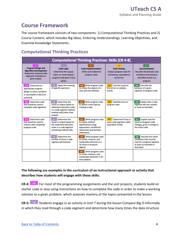## **Course Framework**

 The course framework consists of two components: 1) Computational Thinking Practices and 2) Course Content, which includes Big Ideas, Enduring Understandings, Learning Objectives, and Essential Knowledge Statements.

#### **Computational Thinking Practices**

| <b>Computational Thinking Practices: Skills [CR 4-8]</b>                                                                        |                                                                                                                                                     |                                                                                                                                                |                                                                                              |                                                                                                                             |
|---------------------------------------------------------------------------------------------------------------------------------|-----------------------------------------------------------------------------------------------------------------------------------------------------|------------------------------------------------------------------------------------------------------------------------------------------------|----------------------------------------------------------------------------------------------|-----------------------------------------------------------------------------------------------------------------------------|
| <b>Program Design and</b><br><b>Algorithm Development:</b><br>Determine required code<br>segments to produce a<br>given output. | Code Logic:<br>Determine the output,<br>value, or result of given<br>program code given initial<br>values.                                          | <b>Code Implementation:</b><br>Write and implement<br>program code.                                                                            | <b>Code Testing:</b><br>Analyze program code for<br>correctness, equivalence,<br>and errors. | 5<br>Documentation:<br>Describe the behavior and<br>conditions that produce<br>identified results in a<br>program.          |
| 1.A<br>Determine an<br>appropriate program<br>design to solve a problem<br>or accomplish a task (not<br>assessed).              | Apply the meaning<br>2.A<br>of specific operators.                                                                                                  | Write program code<br>3.A<br>to create the objects of a<br>class and call methods.                                                             | Use test-cases to<br>4.A<br>find errors or validate<br>results.                              | Describe the<br><b>5.A</b><br>behavior of a given<br>segment of program code.                                               |
| Determine code<br>1.B.<br>that would be used to<br>complete code segments.                                                      | Determine the<br>2.B<br>result or output based on<br>statement execution order<br>in a code segment without<br>method calls (other than<br>output). | Write program code<br>3.B<br>to define a new type by<br>creating a class.                                                                      | Identify errors in<br>4.B<br>program code.                                                   | Explain why a code<br>5.B<br>segment will not compile<br>or work as intended.                                               |
| Determine code<br>1.C.<br>that would be used to<br>interact with completed<br>program code.                                     | 2.C.<br>Determine the<br>result or output based on<br>the statement execution<br>order in a code segment<br>containing method calls.                | 3.C.<br>Write program code<br>to satisfy method<br>specifications using<br>expressions, conditional<br>statements and iterative<br>statements. | 4.C.<br>Determine if two or<br>more code segments yield<br>equivalent results.               | 5.C<br>Explain how the<br>result of program code<br>changes, given a change to<br>the initial code.                         |
|                                                                                                                                 | Determine the<br>2.D<br>number of times a code<br>segment will execute.                                                                             | 3.D<br>Write program code<br>to create, traverse, and<br>manipulate elements in a<br>1D array or ArrayList<br>objects.                         |                                                                                              | Describe the initial<br>5.D<br>conditions that must be<br>met for a program segment<br>to work as intended or<br>described. |
|                                                                                                                                 |                                                                                                                                                     | Write program code<br>3.E<br>to create, traverse, and<br>manipulate elements in 2D<br>array objects.                                           |                                                                                              |                                                                                                                             |

#### **The following are examples in the curriculum of an instructional approach or activity that describes how students will engage with these skills:**

 **1111 CR-4: 1.B** For most of the programming assignments and the unit projects, students build on starter code in Java using instructions on how to complete the code in order to make a working solution to a given problem, which assesses mastery of the topics presented in the lesson.

**CR-5:** <sup>2.D</sup> Students engage in an activity in Unit 7 during the lesson Compare Big O Informally in which they read through a code segment and determine how many times the data structure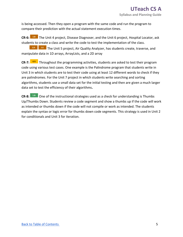is being accessed. Then they open a program with the same code and run the program to compare their prediction with the actual statement execution times.

**CR-6: 3.B** The Unit 4 project, Disease Diagnoser, and the Unit 6 project, Hospital Locator, ask students to create a class and write the code to test the implementation of the class.

 manipulate data in 1D arrays, ArrayLists, and a 2D array **11111111**  The Unit 5 project, Air Quality Analyzer, has students create, traverse, and **3.D 3.E**

**CR-7: 4.A** Throughout the programming activities, students are asked to test their program code using various test cases. One example is the Palindrome program that students write in Unit 3 in which students are to test their code using at least 12 different words to check if they are palindromes. For the Unit 7 project in which students write searching and sorting algorithms, students use a small data set for the initial testing and then are given a much larger data set to test the efficiency of their algorithms**.** 

**CR-8: 5.B** One of the instructional strategies used as a check for understanding is Thumbs Up/Thumbs Down. Students review a code segment and show a thumbs up if the code will work as intended or thumbs down if the code will not compile or work as intended. The students explain the syntax or logic error for thumbs down code segments. This strategy is used in Unit 2 for conditionals and Unit 3 for iteration.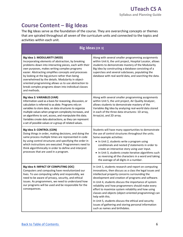## **Course Content – Big Ideas**

 The Big Ideas serve as the foundation of the course. They are overarching concepts or themes that are spiraled throughout all seven of the curriculum units and connected to the topics and activities within each unit.

|                                                                                                                                                                                                                                                                                                                                                                                                                                                                                              | Big Ideas [CR 3]                                                                                                                                                                                                                                                                                                                                                                                                                                                                                                                                                                                                           |
|----------------------------------------------------------------------------------------------------------------------------------------------------------------------------------------------------------------------------------------------------------------------------------------------------------------------------------------------------------------------------------------------------------------------------------------------------------------------------------------------|----------------------------------------------------------------------------------------------------------------------------------------------------------------------------------------------------------------------------------------------------------------------------------------------------------------------------------------------------------------------------------------------------------------------------------------------------------------------------------------------------------------------------------------------------------------------------------------------------------------------------|
| Big Idea 1: MODULARITY (MOD)<br>Incorporating elements of abstraction, by breaking<br>problems down into interacting pieces, each with their<br>own purposes, makes writing complex programs<br>easier. Abstracting simplifies concepts and processes<br>by looking at the big picture rather than being<br>overwhelmed by the details. Modularity in object-<br>oriented programming allows us to use abstraction to<br>break complex programs down into individual classes<br>and methods. | Along with several smaller programming assignments<br>within Unit 6, the unit project, Hospital Locator, allows<br>students to demonstrate mastery of the Modularity<br>Big Idea by constructing a database consisting of a<br>superclass and several subclasses, populating the<br>database with real-world data, and searching the data.                                                                                                                                                                                                                                                                                 |
| Big Idea 2: VARIABLES (VAR)<br>Information used as a basis for reasoning, discussion, or<br>calculation is referred to as data. Programs rely on<br>variables to store data, on data structures to organize<br>multiple values when program complexity increases, and<br>on algorithms to sort, access, and manipulate this data.<br>Variables create data abstractions, as they can represent<br>a set of possible values or a group of related values.                                     | Along with several smaller programming assignments<br>within Unit 5, the unit project, Air Quality Analyzer,<br>allows students to demonstrate mastery of the<br>Variables Big Idea by analyzing real-world data stored<br>in each of the three data structures: 1D array,<br>ArrayList, and 2D array.                                                                                                                                                                                                                                                                                                                     |
| Big Idea 3: CONTROL (CON)<br>Doing things in order, making decisions, and doing the<br>same process multiple times are represented in code<br>by using control structures and specifying the order in<br>which instructions are executed. Programmers need to<br>think algorithmically in order to define and interpret<br>processes that are used in a program.                                                                                                                             | Students will have many opportunities to demonstrate<br>the use of control structures throughout the units.<br>Some example activities:<br>• In Unit 2, students write a program using<br>conditionals and nested if statements in order to<br>create an interactive story using user input.<br>• In Unit 3, students create iterative algorithms such<br>as reversing all the characters in a word and taking<br>the average of all digits in a number.                                                                                                                                                                   |
| Big Idea 4: IMPACT OF COMPUTING (IOC)<br>Computers and computing have revolutionized our<br>lives. To use computing safely and responsibly, we<br>need to be aware of privacy, security, and ethical<br>issues. As programmers, we need to understand how<br>our programs will be used and be responsible for the<br>consequences.                                                                                                                                                           | In Unit 1, students research and report on computing<br>innovations, then discuss as a class the legal issues and<br>intellectual property concerns surrounding the<br>development and creation of programs and software.<br>In Unit 4, students discuss the importance of system<br>reliability and how programmers should make every<br>effort to maximize system reliability and how using<br>classes and objects (object-oriented programming) can<br>help with this.<br>In Unit 5, students discuss the ethical and security<br>issues of gathering and storing personal information<br>such as names and birthdates. |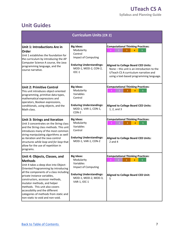## **Unit Guides**

| <b>Curriculum Units [CR 2]</b>                                                                                                                                                                                                                                                                                                                                                                                                |                                                                                                                                                       |                                                                                                                                                                                                                                            |  |  |  |
|-------------------------------------------------------------------------------------------------------------------------------------------------------------------------------------------------------------------------------------------------------------------------------------------------------------------------------------------------------------------------------------------------------------------------------|-------------------------------------------------------------------------------------------------------------------------------------------------------|--------------------------------------------------------------------------------------------------------------------------------------------------------------------------------------------------------------------------------------------|--|--|--|
| Unit 1: Introductions Are in<br><b>Order</b><br>Unit 1 establishes the foundation for<br>the curriculum by introducing the AP<br>Computer Science A course, the Java<br>programming language, and the<br>course narrative.                                                                                                                                                                                                    | <b>Big Ideas:</b><br>Modularity<br>Control<br>Impact of Computing<br><b>Enduring Understandings:</b><br>MOD-1, MOD-2, CON-2,<br>$IOC-1$               | <b>Computational Thinking Practices:</b><br>$\overline{1}$<br><b>Aligned to College Board CED Units:</b><br>None - this unit is an introduction to the<br>UTeach CS A curriculum narrative and<br>using a text-based programming language. |  |  |  |
| <b>Unit 2: Primitive Control</b><br>This unit introduces object-oriented<br>programming, primitive data types,<br>mathematical expressions and<br>operators, Boolean expressions,<br>conditionals, using objects, and the<br>Math class.                                                                                                                                                                                      | <b>Big Ideas:</b><br>Modularity<br>Variables<br>Control<br><b>Enduring Understandings:</b><br>MOD-1, VAR-1, CON-1,<br>CON-2                           | <b>Computational Thinking Practices:</b><br>2 <sup>1</sup><br>$\overline{3}$<br>$\overline{\mathbf{4}}$<br>$\overline{5}$<br><b>Aligned to College Board CED Units:</b><br>1, 2, and 3                                                     |  |  |  |
| <b>Unit 3: Strings and Iteration</b><br>Unit 3 concentrates on the String class<br>and the String class methods. This unit<br>introduces many of the most common<br>string manipulating algorithms as well<br>as iteration and the Java control<br>structures while loop and for loop that<br>allow for the use of repetition in<br>programs.                                                                                 | <b>Big Ideas:</b><br>Modularity<br>Variables<br>Control<br><b>Enduring Understandings:</b><br>MOD-1, VAR-1, CON-2                                     | <b>Computational Thinking Practices:</b><br>$\overline{2}$<br>$\overline{3}$<br>$\overline{4}$<br>$\overline{5}$<br><b>Aligned to College Board CED Units:</b><br>$2$ and $4$                                                              |  |  |  |
| Unit 4: Objects, Classes, and<br><b>Methods</b><br>Unit 4 takes a deep dive into Object-<br>Oriented Programming by introducing<br>all the components of a class including<br>private instance variables,<br>constructors, accessor methods,<br>mutator methods, and helper<br>methods. This unit also covers<br>accessibility and the different<br>categories of methods from static and<br>non-static to void and non-void. | <b>Big Ideas:</b><br>Modularity<br>Variables<br><b>Impact of Computing</b><br><b>Enduring Understandings:</b><br>MOD-1, MOD-2, MOD-3,<br>VAR-1, IOC-1 | <b>Computational Thinking Practices:</b><br>5<br>Aligned to College Board CED Unit:<br>5                                                                                                                                                   |  |  |  |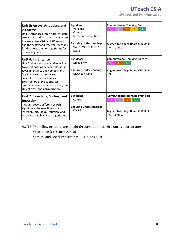## **UTeach CS A**

 **Syllabus and Planning Guide** 

| Unit 5: Arrays, ArrayLists, and<br><b>2D Arrays</b><br>Unit 5 introduces three different data<br>structures used to store data in Java -<br>the array, ArrayList, and 2D array -<br>and the syntax and traversal methods<br>for the most common algorithms for<br>processing data.                                     | <b>Big Ideas:</b><br>Variables<br>Control<br>Impact of Computing<br><b>Enduring Understandings:</b><br>VAR-1, VAR-2, CON-2,<br>$IOC-1$ | <b>Computational Thinking Practices:</b><br><b>Aligned to College Board CED Units:</b><br>6, 7, and 8  |
|------------------------------------------------------------------------------------------------------------------------------------------------------------------------------------------------------------------------------------------------------------------------------------------------------------------------|----------------------------------------------------------------------------------------------------------------------------------------|--------------------------------------------------------------------------------------------------------|
| Unit 6: Inheritance<br>Unit 6 takes a comprehensive look at<br>two relationships between classes in<br>Java: inheritance and composition.<br>Topics covered in depth are<br>superclasses and subclasses,<br>constructors of the subclasses,<br>overriding methods, composition, the<br>Object class, and polymorphism. | <b>Big Ideas:</b><br>Modularity<br><b>Enduring Understandings:</b><br>MOD-2, MOD-3                                                     | <b>Computational Thinking Practices:</b><br><b>Aligned to College Board CED Unit:</b><br>9             |
| Unit 7: Searching, Sorting, and<br><b>Recursion</b><br>This unit covers different search<br>algorithms, the selection sort and<br>insertion sort, Big O, recursion, and<br>recursive search and sort algorithms.                                                                                                       | <b>Big Ideas:</b><br>Control<br><b>Enduring Understanding:</b><br>$CON-2$                                                              | <b>Computational Thinking Practices:</b><br><b>Aligned to College Board CED Units:</b><br>6, 7, and 10 |

NOTES: The following topics are taught throughout the curriculum as appropriate:

- Exception (CED Units 2, 6, 8)
- Ethical and Social Implications (CED Units 5, 7)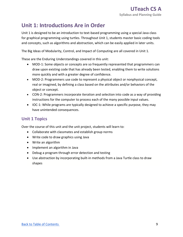## **Unit 1: Introductions Are in Order**

 Unit 1 is designed to be an introduction to text-based programming using a special Java class for graphical programming using turtles. Throughout Unit 1, students master basic coding tools and concepts, such as algorithms and abstraction, which can be easily applied in later units.

The Big Ideas of Modularity, Control, and Impact of Computing are all covered in Unit 1.

These are the Enduring Understandings covered in this unit:

- • MOD-1: Some objects or concepts are so frequently represented that programmers can draw upon existing code that has already been tested, enabling them to write solutions more quickly and with a greater degree of confidence.
- • MOD-2: Programmers use code to represent a physical object or nonphysical concept, real or imagined, by defining a class based on the attributes and/or behaviors of the object or concept.
- • CON-2: Programmers incorporate iteration and selection into code as a way of providing instructions for the computer to process each of the many possible input values.
- • IOC-1: While programs are typically designed to achieve a specific purpose, they may have unintended consequences.

## **Unit 1 Topics**

Over the course of this unit and the unit project, students will learn to:

- Collaborate with classmates and establish group norms
- Write code to draw graphics using Java
- Write an algorithm
- Implement an algorithm in Java
- Debug a program through error detection and testing
- • Use abstraction by incorporating built-in methods from a Java Turtle class to draw shapes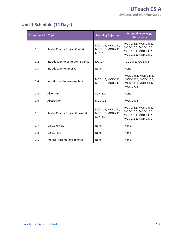## **Unit 1 Schedule (14 Days)**

| <b>Assignment #</b> | <b>Topic</b>                      | <b>Learning Objectives</b>                          | <b>Essential Knowledge</b><br><b>Statements</b>                                                 |
|---------------------|-----------------------------------|-----------------------------------------------------|-------------------------------------------------------------------------------------------------|
| 1.1                 | Avatar Creator Project (1 of 5)   | MOD-1.B, MOD-1.D,<br>MOD-1.E, MOD-2.C,<br>$CON-2.D$ | MOD-1.B.1, MOD-1.B.2,<br>MOD-1.D.1, MOD-1.D.3,<br>MOD-1.E.1, MOD-1.E.2,<br>MOD-1.E.6, MOD-2.C.1 |
| 1.2                 | Introduction to Computer Science  | $IOC-1.A$                                           | IOC-1.A.2, IOC-1.A.3                                                                            |
| 1.3                 | Introduction to AP CS A           | None                                                | None                                                                                            |
| 1.4                 | Introduction to Java Graphics     | MOD-1.B, MOD-1.D,<br>MOD-1.E, MOD-2.C               | MOD-1.B.1, MOD-1.B.2,<br>MOD-1.D.1, MOD-1.D.3,<br>MOD-1.E.1, MOD-1.E.6,<br>$MOD-2.C.1$          |
| 1.5                 | Algorithms                        | $CON-2.D$                                           | None                                                                                            |
| 1.6                 | Abstraction                       | $MOD-1.E$                                           | $MOD-1.E.2$                                                                                     |
| 1.1                 | Avatar Creator Project (2-4 of 5) | MOD-1.B, MOD-1.D,<br>MOD-1.E, MOD-2.C,<br>$CON-2.D$ | MOD-1.B.1, MOD-1.B.2,<br>MOD-1.D.1, MOD-1.D.3,<br>MOD-1.E.1, MOD-1.E.2,<br>MOD-1.E.6, MOD-2.C.1 |
| 1.7                 | Unit 1 Review                     | None                                                | None                                                                                            |
| 1.8                 | Unit 1 Test                       | None                                                | None                                                                                            |
| 1.1                 | Project Presentations (5 of 5)    | None                                                | None                                                                                            |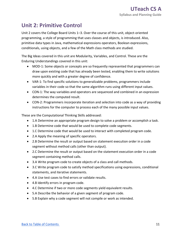## **Unit 2: Primitive Control**

 Unit 2 covers the College Board Units 1–3. Over the course of this unit, object-oriented programming, a style of programming that uses classes and objects, is introduced. Also, primitive data types in Java, mathematical expressions operators, Boolean expressions, conditionals, using objects, and a few of the Math class methods are studied.

 The Big Ideas covered in this unit are Modularity, Variables, and Control. These are the Enduring Understandings covered in this unit:

- • MOD-1: Some objects or concepts are so frequently represented that programmers can draw upon existing code that has already been tested, enabling them to write solutions more quickly and with a greater degree of confidence.
- • VAR-1: To find specific solutions to generalizable problems, programmers include variables in their code so that the same algorithm runs using different input values.
- • CON-1: The way variables and operators are sequenced and combined in an expression determines the computed result.
- • CON-2: Programmers incorporate iteration and selection into code as a way of providing instructions for the computer to process each of the many possible input values.

These are the Computational Thinking Skills addressed:

- 1.A Determine an appropriate program design to solve a problem or accomplish a task.
- 1.B Determine code that would be used to complete code segments.
- 1.C Determine code that would be used to interact with completed program code.
- 2.A Apply the meaning of specific operators.
- • 2.B Determine the result or output based on statement execution order in a code segment without method calls (other than output).
- • 2.C Determine the result or output based on the statement execution order in a code segment containing method calls.
- 3.A Write program code to create objects of a class and call methods.
- • 3.C Write program code to satisfy method specifications using expressions, conditional statements, and iterative statements.
- 4.A Use test cases to find errors or validate results.
- 4.B Identify errors in program code.
- 4.C Determine if two or more code segments yield equivalent results.
- 5.A Describe the behavior of a given segment of program code.
- 5.B Explain why a code segment will not compile or work as intended.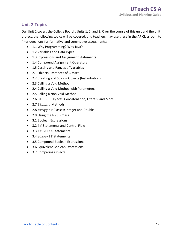## **Unit 2 Topics**

 Our Unit 2 covers the College Board's Units 1, 2, and 3. Over the course of this unit and the unit project, the following topics will be covered, and teachers may use these in the AP Classroom to filter questions for formative and summative assessments:

- 1.1 Why Programming? Why Java?
- 1.2 Variables and Data Types
- 1.3 Expressions and Assignment Statements
- 1.4 Compound Assignment Operators
- 1.5 Casting and Ranges of Variables
- 2.1 Objects: Instances of Classes
- 2.2 Creating and Storing Objects (Instantiation)
- 2.3 Calling a Void Method
- 2.4 Calling a Void Method with Parameters
- 2.5 Calling a Non-void Method
- 2.6 String Objects: Concatenation, Literals, and More
- 2.7 String Methods
- 2.8 Wrapper Classes: Integer and Double
- 2.9 Using the Math Class
- 3.1 Boolean Expressions
- 3.2 if Statements and Control Flow
- 3.3 if-else Statements
- 3.4 else-if Statements
- 3.5 Compound Boolean Expressions
- 3.6 Equivalent Boolean Expressions
- 3.7 Comparing Objects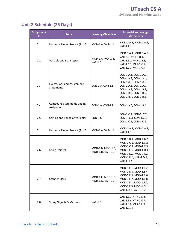## **Unit 2 Schedule (25 Days)**

| <b>Assignment</b><br># | <b>Topic</b>                                           | <b>Learning Objectives</b>            | <b>Essential Knowledge</b><br><b>Statements</b>                                                                                                                            |
|------------------------|--------------------------------------------------------|---------------------------------------|----------------------------------------------------------------------------------------------------------------------------------------------------------------------------|
| 2.1                    | Resource Finder Project (1 of 5)                       | MOD-1.A, VAR-1.A                      | MOD-1.A.1, MOD-1.A.2,<br><b>VAR-1.A.1</b>                                                                                                                                  |
| 2.2                    | Variable and Data Types                                | MOD-1.A, VAR-1.B,<br>$VAR-1.C$        | MOD-1.A.1, MOD-1.A.2,<br>VAR-A.1, VAR-1.B.1,<br>VAR-1.B.2, VAR-1.B.3,<br>VAR-1.C.1, VAR-1.C.2,<br>VAR-1.C.3, VAR-1.C.4                                                     |
| 2.3                    | <b>Expressions and Assignment</b><br><b>Statements</b> | CON-1.A, CON-1.B                      | CON-1.A.1, CON-1.A.2,<br>CON-1.A.3, CON-1.A.4,<br>CON-1.A.5, CON-1.A.6,<br>CON-1.A.6, CON-1.A.7,<br>CON-1.A.8, CON-1.B.1,<br>CON-1.B.2, CON-1.B.3,<br>CON-1.B.4, CON-1.B.5 |
| 2.4                    | <b>Compound Statements Coding</b><br>Assignment        | CON-1.A, CON-1.B                      | CON-1.A.6, CON-1.B.4                                                                                                                                                       |
| 2.5                    | Casting and Range of Variables                         | $CON-1.C$                             | CON-1.C.1, CON-1. C.2,<br>CON-1. C.3, CON-1.C.4,<br>CON-1.C.5, CON-1.C.6                                                                                                   |
| 2.1                    | Resource Finder Project (2 of 5)                       | MOD-1.A, VAR-1.A                      | MOD-1.A.1, MOD-1.A.2,<br><b>VAR-1.A.1</b>                                                                                                                                  |
| 2.6                    | <b>Using Objects</b>                                   | MOD-1.B, MOD-1.C,<br>MOD-1.D, VAR-1.D | MOD-1.B.1, MOD-1.B.2,<br>MOD-1.C.1, MOD-1.C.2,<br>MOD-1.C.3, MOD-1.C.5,<br>MOD-1.C.6, MOD-1.D.1,<br>MOD-1.D.2, MOD-1.D.3,<br>MOD-1.D.4, VAR-1.D.1,<br><b>VAR-1.D.2</b>     |
| 2.7                    | Scanner Class                                          | MOD-1.E, MOD-1.F,<br>MOD-1.G, VAR-1.D | MOD-1.E.1, MOD-1.E.2,<br>MOD-1.E.3, MOD-1.E.4,<br>MOD-1.E.5, MOD-1.E.6,<br>MOD-1.E.7, MOD-1.E.8,<br>MOD-1.F.1, MOD-1.F.2,<br>MOD-1.F.3, MOD-1.G.1,<br>VAR-1.D.1, VAR-1.D.2 |
| 2.8                    | <b>String Objects &amp; Methods</b>                    | VAR-1.E                               | VAR-1.E.1, VAR-1.E.2,<br>VAR-1.E.6, VAR-1.E.7,<br>VAR-1.E.8, VAR-1.E.9,<br>VAR-1.E.12                                                                                      |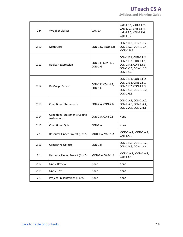**Syllabus and Planning Guide** 

| 2.9  | <b>Wrapper Classes</b>                              | VAR-1.F                        | VAR-1.F.1, VAR-1.F.2,<br>VAR-1.F.3, VAR-1.F.4,<br>VAR-1.F.5, VAR-1.F.6,<br><b>VAR-1.F.7</b>                     |
|------|-----------------------------------------------------|--------------------------------|-----------------------------------------------------------------------------------------------------------------|
| 2.10 | <b>Math Class</b>                                   | CON-1.D, MOD-1.H               | CON-1.D.1, CON-1.D.2,<br>CON-1.D.3, CON-1.D.4,<br>$MOD-1.H.1$                                                   |
| 2.11 | <b>Boolean Expression</b>                           | CON-1.E, CON-1.F,<br>$CON-1.G$ | CON-1.E.1, CON-1.E.2,<br>CON-1.E.3, CON-1.F.1,<br>CON-1.F.2, CON-1.F.3,<br>CON-1.G.1, CON-1.G.2,<br>$CON-1.G.3$ |
| 2.12 | DeMorgan's Law                                      | CON-1.E, CON-1.F,<br>$CON-1.G$ | CON-1.E.1, CON-1.E.2,<br>CON-1.E.3, CON-1.F.1,<br>CON-1.F.2, CON-1.F.3,<br>CON-1.G.1, CON-1.G.2,<br>$CON-1.G.3$ |
| 2.13 | <b>Conditional Statements</b>                       | CON-2.A, CON-2.B               | CON-2.A.1, CON-2.A.2,<br>CON-2.A.3, CON-2.A.4,<br>CON-2.A.5, CON-2.B.1                                          |
| 2.14 | <b>Conditional Statements Coding</b><br>Assignments | CON-2.A, CON-2.B               | None                                                                                                            |
| 2.15 | <b>Conditional Quiz</b>                             | $CON-2.A$                      | None                                                                                                            |
| 2.1  | Resource Finder Project (3 of 5)                    | MOD-1.A, VAR-1.A               | MOD-1.A.1, MOD-1.A.2,<br>VAR-1.A.1                                                                              |
| 2.16 | <b>Comparing Objects</b>                            | $CON-1.H$                      | CON-1.H.1, CON-1.H.2,<br>CON-1.H.3, CON-1.H.4                                                                   |
| 2.1  | Resource Finder Project (4 of 5)                    | MOD-1.A, VAR-1.A               | MOD-1.A.1, MOD-1.A.2,<br>VAR-1.A.1                                                                              |
| 2.17 | Unit 2 Review                                       | None                           | None                                                                                                            |
| 2.18 | Unit 2 Test                                         | None                           | None                                                                                                            |
| 2.1  | Project Presentations (5 of 5)                      | None                           | None                                                                                                            |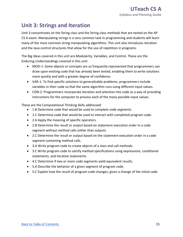## **Unit 3: Strings and Iteration**

 Unit 3 concentrates on the String class and the String class methods that are tested on the AP CS A exam. Manipulating strings is a very common task in programming and students will learn many of the most common string manipulating algorithms. This unit also introduces iteration and the Java control structures that allow for the use of repetition in programs.

 The Big Ideas covered in this unit are Modularity, Variables, and Control. These are the Enduring Understandings covered in this unit:

- • MOD-1: Some objects or concepts are so frequently represented that programmers can draw upon existing code that has already been tested, enabling them to write solutions more quickly and with a greater degree of confidence.
- • VAR-1: To find specific solutions to generalizable problems, programmers include variables in their code so that the same algorithm runs using different input values.
- • CON-2: Programmers incorporate iteration and selection into code as a way of providing instructions for the computer to process each of the many possible input values.

These are the Computational Thinking Skills addressed:

- 1.B Determine code that would be used to complete code segments.
- 1.C Determine code that would be used to interact with completed program code.
- 2.A Apply the meaning of specific operators.
- • 2.B Determine the result or output based on statement execution order in a code segment without method calls (other than output).
- • 2.C Determine the result or output based on the statement execution order in a code segment containing method calls.
- 3.A Write program code to create objects of a class and call methods.
- • 3.C Write program code to satisfy method specifications using expressions, conditional statements, and iterative statements.
- 4.C Determine if two or more code segments yield equivalent results.
- 5.A Describe the behavior of a given segment of program code.
- 5.C Explain how the result of program code changes, given a change of the initial code.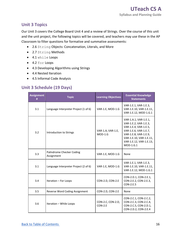### **Unit 3 Topics**

 Our Unit 3 covers the College Board Unit 4 and a review of Strings. Over the course of this unit and the unit project, the following topics will be covered, and teachers may use these in the AP Classroom to filter questions for formative and summative assessments:

- 2.6 String Objects: Concatenation, Literals, and More
- 2.7 String Methods
- 4.1 while Loops
- 4.2 for Loops
- 4.3 Developing Algorithms using Strings
- 4.4 Nested Iteration
- 4.5 Informal Code Analysis

## **Unit 3 Schedule (19 Days)**

| <b>Assignment</b><br># | <b>Topic</b>                            | <b>Learning Objectives</b>     | <b>Essential Knowledge</b><br><b>Statements</b>                                                                                                                                              |
|------------------------|-----------------------------------------|--------------------------------|----------------------------------------------------------------------------------------------------------------------------------------------------------------------------------------------|
| 3.1                    | Language Interpreter Project (1 of 6)   | VAR-1.E, MOD-1.G               | VAR-1.E.1, VAR-1.E.3,<br>VAR-1.E.10, VAR-1.E.11,<br>VAR-1.E.12, MOD-1.G.1                                                                                                                    |
| 3.2                    | Introduction to Strings                 | VAR-1.A, VAR-1.E,<br>$MOD-1.G$ | VAR-1.A.1, VAR-1.E.1,<br>VAR-1.E.2, VAR-1.E.3,<br>VAR-1.E.4, VAR-1.E.5,<br>VAR-1.E.6, VAR-1.E.7,<br>VAR-1.E.8, VAR-1.E.9,<br>VAR-1.E.10, VAR-1.E.11,<br>VAR-1.E.12, VAR-1.E.13,<br>MOD-1.G.1 |
| 3.3                    | Palindrome Checker Coding<br>Assignment | VAR-1.E, MOD-1.G               | None                                                                                                                                                                                         |
| 3.1                    | Language Interpreter Project (2 of 6)   | VAR-1.E, MOD-1.G               | VAR-1.E.1, VAR-1.E.3,<br>VAR-1.E.10, VAR-1.E.11,<br>VAR-1.E.12, MOD-1.G.1                                                                                                                    |
| 3.4                    | Iteration - For Loops                   | CON-2.D, CON-2.E               | CON-2.D.1, CON-2.E.1,<br>CON-2.E.2, CON-2.E.3,<br>CON-2.E.5                                                                                                                                  |
| 3.5                    | Reverse Word Coding Assignment          | CON-2.D, CON-2.E               | None                                                                                                                                                                                         |
| 3.6                    | Iteration - While Loops                 | CON-2.C, CON-2.D,<br>$CON-2.E$ | CON-2.C.1, CON-2.C.2,<br>CON-2.C.3, CON-2.C.4,<br>CON-2.C.5, CON-2.D.1,<br>CON-2.D.2, CON-2.E.4                                                                                              |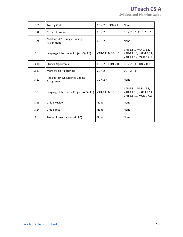## **UTeach CS A**

 **Syllabus and Planning Guide** 

| 3.7  | <b>Tracing Code</b>                         | CON-2.C, CON-2.E | None                                                                      |
|------|---------------------------------------------|------------------|---------------------------------------------------------------------------|
| 3.8  | <b>Nested Iteration</b>                     | $CON-2.G$        | CON-2.G.1, CON-2.G.2                                                      |
| 3.9  | "Backwords" Triangle Coding<br>Assignment   | $CON-2.G$        | None                                                                      |
| 3.1  | Language Interpreter Project (3 of 6)       | VAR-1.E, MOD-1.G | VAR-1.E.1, VAR-1.E.3,<br>VAR-1.E.10, VAR-1.E.11,<br>VAR-1.E.12, MOD-1.G.1 |
| 3.10 | <b>Strings Algorithms</b>                   | CON-2.F, CON-2.H | CON-2.F.1, CON-2.H.1                                                      |
| 3.11 | More String Algorithms                      | $CON-2.F$        | $CON-2.F.1$                                                               |
| 3.12 | Replace Nth Occurrence Coding<br>Assignment | $CON-2.F$        | None                                                                      |
| 3.1  | Language Interpreter Project (4-5 of 6)     | VAR-1.E, MOD-1.G | VAR-1.E.1, VAR-1.E.3,<br>VAR-1.E.10, VAR-1.E.11,<br>VAR-1.E.12, MOD-1.G.1 |
| 3.13 | Unit 3 Review                               | None             | None                                                                      |
| 3.14 | Unit 3 Test                                 | None             | None                                                                      |
| 3.1  | Project Presentations (6 of 6)              | None             | None                                                                      |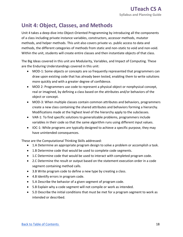## **Unit 4: Object, Classes, and Methods**

 Unit 4 takes a deep dive into Object-Oriented Programming by introducing all the components of a class including private instance variables, constructors, accessor methods, mutator methods, and helper methods. This unit also covers private vs. public access to data and methods, the different categories of methods from static and non-static to void and non-void. Within the unit, students will create entire classes and then instantiate objects of that class.

 The Big Ideas covered in this unit are Modularity, Variables, and Impact of Computing. These are the Enduring Understandings covered in this unit:

- • MOD-1: Some objects or concepts are so frequently represented that programmers can draw upon existing code that has already been tested, enabling them to write solutions more quickly and with a greater degree of confidence.
- • MOD 2: Programmers use code to represent a physical object or nonphysical concept, real or imagined, by defining a class based on the attributes and/or behaviors of the object or concept.
- • MOD-3: When multiple classes contain common attributes and behaviors, programmers create a new class containing the shared attributes and behaviors forming a hierarchy. Modifications made at the highest level of the hierarchy apply to the subclasses.
- • VAR-1: To find specific solutions to generalizable problems, programmers include variables in their code so that the same algorithm runs using different input values.
- • IOC-1: While programs are typically designed to achieve a specific purpose, they may have unintended consequences.

These are the Computational Thinking Skills addressed:

- 1.A Determine an appropriate program design to solve a problem or accomplish a task.
- 1.B Determine code that would be used to complete code segments.
- 1.C Determine code that would be used to interact with completed program code.
- • 2.C Determine the result or output based on the statement execution order in a code segment containing method calls.
- 3.B Write program code to define a new type by creating a class.
- 4.B Identify errors in program code.
- 5.A Describe the behavior of a given segment of program code.
- 5.B Explain why a code segment will not compile or work as intended.
- • 5.D Describe the initial conditions that must be met for a program segment to work as intended or described.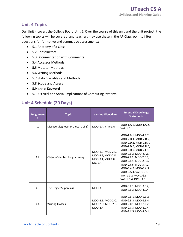### **Unit 4 Topics**

 Our Unit 4 covers the College Board Unit 5. Over the course of this unit and the unit project, the following topics will be covered, and teachers may use these in the AP Classroom to filter questions for formative and summative assessments:

- 5.1 Anatomy of a Class
- 5.2 Constructors
- 5.3 Documentation with Comments
- 5.4 Accessor Methods
- 5.5 Mutator Methods
- 5.6 Writing Methods
- 5.7 Static Variables and Methods
- 5.8 Scope and Access
- 5.9 this Keyword
- 5.10 Ethical and Social Implications of Computing Systems

## **Unit 4 Schedule (20 Days)**

| <b>Assignment</b><br># | <b>Topic</b>                       | <b>Learning Objectives</b>                                               | <b>Essential Knowledge</b><br><b>Statements</b>                                                                                                                                                                                                                                                                                  |
|------------------------|------------------------------------|--------------------------------------------------------------------------|----------------------------------------------------------------------------------------------------------------------------------------------------------------------------------------------------------------------------------------------------------------------------------------------------------------------------------|
| 4.1                    | Disease Diagnoser Project (1 of 5) | MOD-1.A, VAR-1.A                                                         | MOD-1.A.1, MOD-1.A.2,<br><b>VAR-1.A.1</b>                                                                                                                                                                                                                                                                                        |
| 4.2                    | <b>Object-Oriented Programming</b> | MOD-1.B, MOD-2.D,<br>MOD-2.E, MOD-2.F,<br>MOD-3.A, VAR-1.G,<br>$IOC-1.A$ | MOD-1.B.1, MOD-1.B.2,<br>MOD-2.D.1, MOD-2.D.2,<br>MOD-2.D.3, MOD-2.D.4,<br>MOD-2.D.5, MOD-2.D.6,<br>MOD-2.D.7, MOD-2.E.1,<br>MOD-2.E.2, MOD-2.F.1,<br>MOD-2.F.2, MOD-2.F.3,<br>MOD-2.F.4, MOD-2.F.5,<br>MOD-2.F.6, MOD-3.A.1,<br>MOD-3.A.2, MOD-3.A.3,<br>MOD-3.A.4, VAR-1.G.1,<br>VAR-1.G.2, VAR-1.G.3,<br>VAR-1.G.4, IOC-1.A.1 |
| 4.3                    | The Object Superclass              | MOD-3.E                                                                  | MOD-3.E.1, MOD-3.E.2,<br>MOD-3.E.3, MOD-3.E.4                                                                                                                                                                                                                                                                                    |
| 4.4                    | <b>Writing Classes</b>             | MOD-2.B, MOD-2.C,<br>MOD-2.D, MOD-2.E,<br>$MOD-2.F$                      | MOD-2.B.1, MOD-2.B.2,<br>MOD-2.B.3, MOD-2.B.4,<br>MOD-2.C.1, MOD-2.C.2,<br>MOD-2.C.3, MOD-2.C.4,<br>MOD-2.C.5, MOD-2.D.1,                                                                                                                                                                                                        |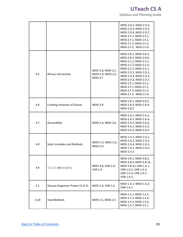## **UTeach CS A**

 **Syllabus and Planning Guide** 

|      |                                      |                                                   | MOD-2.D.2, MOD-2.D.3,<br>MOD-2.D.4, MOD-2.D.5,<br>MOD-2.D.6, MOD-2.D.7,<br>MOD-2.E.1, MOD-2.E.2,<br>MOD-2.F.1, MOD-2.F.2,<br>MOD-2.F.3, MOD-2.F.4,<br>MOD-2.F.5, MOD-2.F.6                                                                                                                              |
|------|--------------------------------------|---------------------------------------------------|---------------------------------------------------------------------------------------------------------------------------------------------------------------------------------------------------------------------------------------------------------------------------------------------------------|
| 4.5  | African Life Activity                | MOD-2.B, MOD-2.C,<br>MOD-2.D, MOD-2.E,<br>MOD-2.F | MOD-2.B.1, MOD-2.B.2,<br>MOD-2.B.3, MOD-2.B.4,<br>MOD-2.C.1, MOD-2.C.2,<br>MOD-2.C.3, MOD-2.C.4,<br>MOD-2.C.5, MOD-2.D.1,<br>MOD-2.D.2, MOD-2.D.3,<br>MOD-2.D.4, MOD-2.D.5,<br>MOD-2.D.6, MOD-2.D.7,<br>MOD-2.E.1, MOD-2.E.2,<br>MOD-2.F.1, MOD-2.F.2,<br>MOD-2.F.3, MOD-2.F.4,<br>MOD-2.F.5, MOD-2.F.6 |
| 4.6  | <b>Creating Instances of Classes</b> | $MOD-2.B$                                         | MOD-2.B.1, MOD-2.B.2,<br>MOD-2.B.3, MOD-2.B.4,<br>MOD-2.B.5                                                                                                                                                                                                                                             |
| 4.7  | Accessibility                        | MOD-2.A, MOD-3.A                                  | MOD-2.A.1, MOD-2.A.2,<br>MOD-2.A.3, MOD-2.A.4,<br>MOD-2.A.5, MOD-2.A.6,<br>MOD-3.A.1, MOD-2.A.2,<br>MOD-3.A.3, MOD-3.A.4                                                                                                                                                                                |
| 4.8  | <b>Static Variables and Methods</b>  | MOD-1.H, MOD-2.G,<br>$MOD-2.H$                    | MOD-1.H.1, MOD-2.G.1,<br>MOD-2.G.2, MOD-2.G.3,<br>MOD-2.G.4, MOD-2.G.5,<br>MOD-2.H.1, MOD-2.H.2,<br>$MOD-2.H.3$                                                                                                                                                                                         |
| 4.9  | this and super                       | MOD-3.B, VAR-1.G,<br>$VAR-1.H$                    | MOD-3.B.1, MOD-3.B.2,<br>MOD-3.B.4, MOD-3.B.14,<br>MOD-3.B.15, VAR-1.G.1,<br>VAR-1.G.2, VAR-1.G.3,<br>VAR-1.G.4, VAR-1.H.1,<br>VAR-1.H.2,                                                                                                                                                               |
| 4.1  | Disease Diagnoser Project (2 of 5)   | MOD-1.A, VAR-1.A                                  | MOD-1.A.1, MOD-1.A.2,<br>VAR-1.A.1                                                                                                                                                                                                                                                                      |
| 4.10 | Void Methods                         | MOD-1.E, MOD-2.E                                  | MOD-1.E.1, MOD-1.E.2,<br>MOD-1.E.3, MOD-1.E.4,<br>MOD-1.E.5, MOD-1.E.6,<br>MOD-1.E.7, MOD-2.E.1                                                                                                                                                                                                         |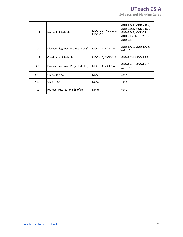## **UTeach CS A**

 **Syllabus and Planning Guide** 

| 4.11 | Non-void Methods                   | MOD.1.G, MOD-2.D,<br>$MOD-2.F$ | MOD-1.G.1, MOD-2.D.2,<br>MOD-2.D.3, MOD-2.D.4,<br>MOD-2.D.5, MOD-2.F.1,<br>MOD-2.F.2, MOD-2.F.3,<br>$MOD-2.F.4$ |
|------|------------------------------------|--------------------------------|-----------------------------------------------------------------------------------------------------------------|
| 4.1  | Disease Diagnoser Project (3 of 5) | MOD-1.A, VAR-1.A               | MOD-1.A.1, MOD-1.A.2,<br><b>VAR-1.A.1</b>                                                                       |
| 4.12 | <b>Overloaded Methods</b>          | MOD-1.C, MOD-1.F               | MOD-1.C.4, MOD-1.F.3                                                                                            |
| 4.1  | Disease Diagnoser Project (4 of 5) | MOD-1.A, VAR-1.A               | MOD-1.A.1, MOD-1.A.2,<br><b>VAR-1.A.1</b>                                                                       |
| 4.13 | Unit 4 Review                      | None                           | None                                                                                                            |
| 4.14 | Unit 4 Test                        | None                           | None                                                                                                            |
| 4.1  | Project Presentations (5 of 5)     | None                           | None                                                                                                            |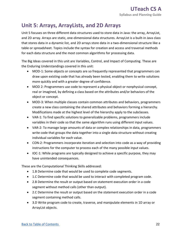## **Unit 5: Arrays, ArrayLists, and 2D Arrays**

 Unit 5 focuses on three different data structures used to store data in Java: the array, ArrayList, and 2D array. Arrays are static, one-dimensional data structures. ArrayList is a built-in Java class that stores data in a dynamic list, and 2D arrays store data in a two-dimensional structure like a table or spreadsheet. Topics include the syntax for creation and access and traversal methods for each data structure and the most common algorithms for processing data.

 The Big Ideas covered in this unit are Variables, Control, and Impact of Computing. These are the Enduring Understandings covered in this unit:

- • MOD-1: Some objects or concepts are so frequently represented that programmers can draw upon existing code that has already been tested, enabling them to write solutions more quickly and with a greater degree of confidence.
- • MOD 2: Programmers use code to represent a physical object or nonphysical concept, real or imagined, by defining a class based on the attributes and/or behaviors of the object or concept.
- • MOD-3: When multiple classes contain common attributes and behaviors, programmers create a new class containing the shared attributes and behaviors forming a hierarchy. Modifications made at the highest level of the hierarchy apply to the subclasses.
- • VAR-1: To find specific solutions to generalizable problems, programmers include variables in their code so that the same algorithm runs using different input values.
- • VAR-2: To manage large amounts of data or complex relationships in data, programmers write code that groups the data together into a single data structure without creating individual variables for each value.
- • CON-2: Programmers incorporate iteration and selection into code as a way of providing instructions for the computer to process each of the many possible input values.
- • IOC-1: While programs are typically designed to achieve a specific purpose, they may have unintended consequences.

These are the Computational Thinking Skills addressed:

- 1.B Determine code that would be used to complete code segments.
- 1.C Determine code that would be used to interact with completed program code.
- • 2.B Determine the result or output based on statement execution order in a code segment without method calls (other than output).
- • 2.C Determine the result or output based on the statement execution order in a code segment containing method calls.
- • 3.D Write program code to create, traverse, and manipulate elements in 1D array or ArrayList objects.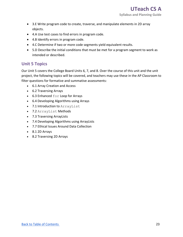- • 3.E Write program code to create, traverse, and manipulate elements in 2D array objects.
- 4.A Use test cases to find errors in program code.
- 4.B Identify errors in program code.
- 4.C Determine if two or more code segments yield equivalent results.
- • 5.D Describe the initial conditions that must be met for a program segment to work as intended or described.

## **Unit 5 Topics**

 Our Unit 5 covers the College Board Units 6, 7, and 8. Over the course of this unit and the unit project, the following topics will be covered, and teachers may use these in the AP Classroom to filter questions for formative and summative assessments:

- 6.1 Array Creation and Access
- 6.2 Traversing Arrays
- 6.3 Enhanced for Loop for Arrays
- 6.4 Developing Algorithms using Arrays
- 7.1 Introduction to ArrayList
- 7.2 ArrayList Methods
- 7.3 Traversing ArrayLists
- 7.4 Developing Algorithms using ArrayLists
- 7.7 Ethical Issues Around Data Collection
- 8.1 2D Arrays
- 8.2 Traversing 2D Arrays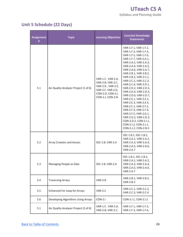## **Unit 5 Schedule (22 Days)**

| <b>Assignment</b><br># | <b>Topic</b>                          | <b>Learning Objectives</b>                                                                                                | <b>Essential Knowledge</b><br><b>Statements</b>                                                                                                                                                                                                                                                                                                                                                                                                                                                                                                                                            |
|------------------------|---------------------------------------|---------------------------------------------------------------------------------------------------------------------------|--------------------------------------------------------------------------------------------------------------------------------------------------------------------------------------------------------------------------------------------------------------------------------------------------------------------------------------------------------------------------------------------------------------------------------------------------------------------------------------------------------------------------------------------------------------------------------------------|
| 5.1                    | Air Quality Analyzer Project (1 of 6) | VAR-1.F, VAR-2.A,<br>VAR-2.B, VAR-2.C,<br>VAR-2.D, VAR-2.E,<br>VAR-2.F, VAR-2.G,<br>CON-2.D, CON-2.I,<br>CON-2.J, CON-2.N | VAR-1.F.1, VAR-1.F.2,<br>VAR-1.F.3, VAR-1.F.4,<br>VAR-1.F.5, VAR-1.F.6,<br>VAR-1.F.7, VAR-2.A.1,<br>VAR-2.A.2, VAR-2.A.3,<br>VAR-2.A.4, VAR-2.A.5,<br>VAR-2.A.6, VAR-2.A.7,<br>VAR-2.B.1, VAR-2.B.2,<br>VAR-2.B.3, VAR-2.C.1,<br>VAR-2.C.2, VAR-2.C.3,<br>VAR-2.C.4, VAR-2.D.1,<br>VAR-2.D.2, VAR-2.D.3,<br>VAR-2.D.4, VAR-2.D.5,<br>VAR-2.D.6, VAR-2.D.7,<br>VAR-2.E.1, VAR-2.E.2,<br>VAR-2.E.3, VAR-2.E.4,<br>VAR-2.F.1, VAR-2.F.2,<br>VAR-2.F.3, VAR-2.F.4,<br>VAR-2.F.5, VAR-2.G.1,<br>VAR-2.G.2, VAR-2.G.3,<br>CON-2.D.2, CON-2.I.1,<br>CON-2.1.2, CON-2.J.1,<br>CON-2.J.2, CON-2.N.2 |
| 5.2                    | <b>Array Creation and Access</b>      | IOC-1.B, VAR-2.A                                                                                                          | IOC-1.B.1, IOC-1.B.2,<br>VAR-2.A.1, VAR-2.A.2,<br>VAR-2.A.3, VAR-2.A.4,<br>VAR-2.A.5, VAR-2.A.6,<br><b>VAR-2.A.7</b>                                                                                                                                                                                                                                                                                                                                                                                                                                                                       |
| 5.3                    | Managing People as Data               | IOC-1.B, VAR-2.A                                                                                                          | IOC-1.B.1, IOC-1.B.2,<br>VAR-2.A.1, VAR-2.A.2,<br>VAR-2.A.3, VAR-2.A.4,<br>VAR-2.A.5, VAR-2.A.6,<br><b>VAR-2.A.7</b>                                                                                                                                                                                                                                                                                                                                                                                                                                                                       |
| 5.4                    | <b>Traversing Arrays</b>              | $VAR-2.B$                                                                                                                 | VAR-2.B.1, VAR-2.B.2,<br>VAR-2.B.3                                                                                                                                                                                                                                                                                                                                                                                                                                                                                                                                                         |
| 5.5                    | <b>Enhanced For Loop for Arrays</b>   | VAR-2.C                                                                                                                   | VAR-2.C.1, VAR-2.C.2,<br>VAR-2.C.3, VAR-2.C.4                                                                                                                                                                                                                                                                                                                                                                                                                                                                                                                                              |
| 5.6                    | Developing Algorithms Using Arrays    | $CON-2.1$                                                                                                                 | CON-2.1.1, CON-2.1.2                                                                                                                                                                                                                                                                                                                                                                                                                                                                                                                                                                       |
| 5.1                    | Air Quality Analyzer Project (2 of 6) | VAR-1.F, VAR-2.A,<br>VAR-2.B, VAR-2.C,                                                                                    | VAR-1.F.1, VAR-1.F.2,<br>VAR-1.F.3, VAR-1.F.4,                                                                                                                                                                                                                                                                                                                                                                                                                                                                                                                                             |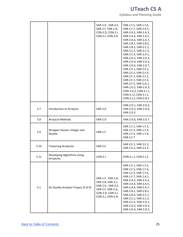## **UTeach CS A**

 **Syllabus and Planning Guide** 

|      |                                           | VAR-2.D, VAR-2.E,<br>VAR-2.F, VAR-2.G,<br>CON-2.D, CON-2.I,<br>CON-2.J, CON-2.N                                           | VAR-1.F.5, VAR-1.F.6,<br>VAR-1.F.7, VAR-2.A.1,<br>VAR-2.A.2, VAR-2.A.3,<br>VAR-2.A.4, VAR-2.A.5,<br>VAR-2.A.6, VAR-2.A.7,<br>VAR-2.B.1, VAR-2.B.2,<br>VAR-2.B.3, VAR-2.C.1,<br>VAR-2.C.2, VAR-2.C.3,<br>VAR-2.C.4, VAR-2.D.1,<br>VAR-2.D.2, VAR-2.D.3,<br>VAR-2.D.4, VAR-2.D.5,<br>VAR-2.D.6, VAR-2.D.7,<br>VAR-2.E.1, VAR-2.E.2,<br>VAR-2.E.3, VAR-2.E.4,<br>VAR-2.F.1, VAR-2.F.2,<br>VAR-2.F.3, VAR-2.F.4,<br>VAR-2.F.5, VAR-2.G.1,<br>VAR-2.G.2, VAR-2.G.3,<br>CON-2.D.2, CON-2.I.1,<br>CON-2.1.2, CON-2.J.1,<br>CON-2.J.2, CON-2.N.2 |
|------|-------------------------------------------|---------------------------------------------------------------------------------------------------------------------------|------------------------------------------------------------------------------------------------------------------------------------------------------------------------------------------------------------------------------------------------------------------------------------------------------------------------------------------------------------------------------------------------------------------------------------------------------------------------------------------------------------------------------------------|
| 5.7  | Introduction to ArrayList                 | VAR-2.D                                                                                                                   | VAR-2.D.1, VAR-2.D.2,<br>VAR-2.D.3, VAR-2.D.4,<br><b>VAR-2.D.5</b>                                                                                                                                                                                                                                                                                                                                                                                                                                                                       |
| 5.8  | <b>ArrayList Methods</b>                  | VAR-2.D                                                                                                                   | VAR-2.D.6, VAR-2.D.7                                                                                                                                                                                                                                                                                                                                                                                                                                                                                                                     |
| 5.9  | Wrapper Classes: Integer and<br>Double    | $VAR-1.F$                                                                                                                 | VAR-1.F.1, VAR-1.F.2,<br>VAR-1.F.3, VAR-1.F.4,<br>VAR-1.F.5, VAR-1.F.6,<br><b>VAR-1.F.7</b>                                                                                                                                                                                                                                                                                                                                                                                                                                              |
| 5.10 | <b>Traversing ArrayLists</b>              | $VAR-2.E$                                                                                                                 | VAR-2.E.1, VAR-2.E.2,<br>VAR-2.E.3, VAR-2.E.4                                                                                                                                                                                                                                                                                                                                                                                                                                                                                            |
| 5.11 | Developing Algorithms Using<br>ArrayLists | $CON-2.J$                                                                                                                 | CON-2.J.1, CON-2.J.2                                                                                                                                                                                                                                                                                                                                                                                                                                                                                                                     |
| 5.1  | Air Quality Analyzer Project (3 of 6)     | VAR-1.F, VAR-2.A,<br>VAR-2.B, VAR-2.C,<br>VAR-2.D, VAR-2.E,<br>VAR-2.F, VAR-2.G,<br>CON-2.D, CON-2.I,<br>CON-2.J, CON-2.N | VAR-1.F.1, VAR-1.F.2,<br>VAR-1.F.3, VAR-1.F.4,<br>VAR-1.F.5, VAR-1.F.6,<br>VAR-1.F.7, VAR-2.A.1,<br>VAR-2.A.2, VAR-2.A.3,<br>VAR-2.A.4, VAR-2.A.5,<br>VAR-2.A.6, VAR-2.A.7,<br>VAR-2.B.1, VAR-2.B.2,<br>VAR-2.B.3, VAR-2.C.1,<br>VAR-2.C.2, VAR-2.C.3,<br>VAR-2.C.4, VAR-2.D.1,<br>VAR-2.D.2, VAR-2.D.3,<br>VAR-2.D.4, VAR-2.D.5,                                                                                                                                                                                                        |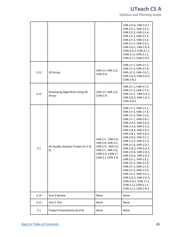**UTeach CS A** 

 **Syllabus and Planning Guide** 

|      |                                            |                                                                                                                           | VAR-2.D.6, VAR-2.D.7,<br>VAR-2.E.1, VAR-2.E.2,<br>VAR-2.E.3, VAR-2.E.4,<br>VAR-2.F.1, VAR-2.F.2,<br>VAR-2.F.3, VAR-2.F.4,<br>VAR-2.F.5, VAR-2.G.1,<br>VAR-2.G.2, VAR-2.G.3,<br>CON-2.D.2, CON-2.I.1,<br>CON-2.1.2, CON-2.J.1,<br>CON-2.J.2, CON-2.N.2                                                                                                                                                                                                                                                                                                                                      |
|------|--------------------------------------------|---------------------------------------------------------------------------------------------------------------------------|--------------------------------------------------------------------------------------------------------------------------------------------------------------------------------------------------------------------------------------------------------------------------------------------------------------------------------------------------------------------------------------------------------------------------------------------------------------------------------------------------------------------------------------------------------------------------------------------|
| 5.12 | 2D Arrays                                  | VAR-2.F, VAR-2.G,<br>$CON-2.N$                                                                                            | VAR-2.F.1, VAR-2.F.2,<br>VAR-2.F.3, VAR-2.F.4,<br>VAR-2.F.5, VAR-2.G.1,<br>VAR-2.G.2, VAR-2.G.3,<br>CON-2.N.2                                                                                                                                                                                                                                                                                                                                                                                                                                                                              |
| 5.13 | Developing Algorithms Using 2D<br>Arrays   | VAR-2.F, VAR-2.G,<br>$CON-2.N$                                                                                            | VAR-2.F.1, VAR-2.F.2,<br>VAR-2.F.3, VAR-2.F.4,<br>VAR-2.F.5, VAR-2.G.1,<br>VAR-2.G.2, VAR-2.G.3,<br>CON-2.N.2                                                                                                                                                                                                                                                                                                                                                                                                                                                                              |
| 5.1  | Air Quality Analyzer Project (4-5 of<br>6) | VAR-1.F, VAR-2.A,<br>VAR-2.B, VAR-2.C,<br>VAR-2.D, VAR-2.E,<br>VAR-2.F, VAR-2.G,<br>CON-2.D, CON-2.I,<br>CON-2.J, CON-2.N | VAR-1.F.1, VAR-1.F.2,<br>VAR-1.F.3, VAR-1.F.4,<br>VAR-1.F.5, VAR-1.F.6,<br>VAR-1.F.7, VAR-2.A.1,<br>VAR-2.A.2, VAR-2.A.3,<br>VAR-2.A.4, VAR-2.A.5,<br>VAR-2.A.6, VAR-2.A.7,<br>VAR-2.B.1, VAR-2.B.2,<br>VAR-2.B.3, VAR-2.C.1,<br>VAR-2.C.2, VAR-2.C.3,<br>VAR-2.C.4, VAR-2.D.1,<br>VAR-2.D.2, VAR-2.D.3,<br>VAR-2.D.4, VAR-2.D.5,<br>VAR-2.D.6, VAR-2.D.7,<br>VAR-2.E.1, VAR-2.E.2,<br>VAR-2.E.3, VAR-2.E.4,<br>VAR-2.F.1, VAR-2.F.2,<br>VAR-2.F.3, VAR-2.F.4,<br>VAR-2.F.5, VAR-2.G.1,<br>VAR-2.G.2, VAR-2.G.3,<br>CON-2.D.2, CON-2.I.1,<br>CON-2.1.2, CON-2.J.1,<br>CON-2.J.2, CON-2.N.2 |
| 5.14 | Unit 5 Review                              | None                                                                                                                      | None                                                                                                                                                                                                                                                                                                                                                                                                                                                                                                                                                                                       |
| 5.15 | Unit 5 Test                                | None                                                                                                                      | None                                                                                                                                                                                                                                                                                                                                                                                                                                                                                                                                                                                       |
| 5.1  | Project Presentations (6 of 6)             | None                                                                                                                      | None                                                                                                                                                                                                                                                                                                                                                                                                                                                                                                                                                                                       |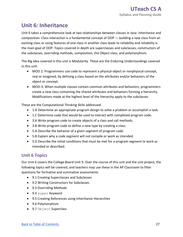## **Unit 6: Inheritance**

 Unit 6 takes a comprehensive look at two relationships between classes in Java: inheritance and composition. Class interaction is a fundamental concept of OOP — building a new class from an existing class or using features of one class in another class leads to reliability and reliability is the main goal of OOP. Topics covered in depth are superclasses and subclasses, constructors of the subclasses, overriding methods, composition, the Object class, and polymorphism.

 The Big Idea covered in this unit is Modularity. These are the Enduring Understandings covered in this unit:

- • MOD 2: Programmers use code to represent a physical object or nonphysical concept, real or imagined, by defining a class based on the attributes and/or behaviors of the object or concept.
- • MOD-3: When multiple classes contain common attributes and behaviors, programmers create a new class containing the shared attributes and behaviors forming a hierarchy. Modifications made at the highest level of the hierarchy apply to the subclasses.

These are the Computational Thinking Skills addressed:

- 1.A Determine an appropriate program design to solve a problem or accomplish a task.
- 1.C Determine code that would be used to interact with completed program code.
- 3.A Write program code to create objects of a class and call methods.
- 3.B Write program code to define a new type by creating a class.
- 5.A Describe the behavior of a given segment of program code.
- 5.B Explain why a code segment will not compile or work as intended.
- • 5.D Describe the initial conditions that must be met for a program segment to work as intended or described.

## **Unit 6 Topics**

 Our Unit 6 covers the College Board Unit 9. Over the course of this unit and the unit project, the following topics will be covered, and teachers may use these in the AP Classroom to filter questions for formative and summative assessments:

- 9.1 Creating Superclasses and Subclasses
- 9.2 Writing Constructors for Subclasses
- 9.3 Overriding Methods
- 9.4 super Keyword
- 9.5 Creating References using Inheritance Hierarchies
- 9.6 Polymorphism
- 9.7 Object Superclass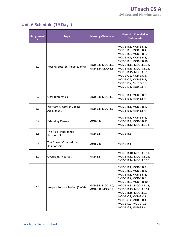## **Unit 6 Schedule (19 Days)**

| <b>Assignment</b><br># | <b>Topic</b>                            | <b>Learning Objectives</b>            | <b>Essential Knowledge</b><br><b>Statements</b>                                                                                                                                                                                                                                                               |
|------------------------|-----------------------------------------|---------------------------------------|---------------------------------------------------------------------------------------------------------------------------------------------------------------------------------------------------------------------------------------------------------------------------------------------------------------|
| 6.1                    | Hospital Locator Project (1 of 6)       | MOD-3.B, MOD-3.C,<br>MOD-3.D, MOD-3.E | MOD-3.B.1, MOD-3.B.2,<br>MOD-3.B.3, MOD-3.B.4,<br>MOD-3.B.5, MOD-3.B.6,<br>MOD-3.B.7, MOD-3.B.8,<br>MOD-3.B.9, MOD-3.B.10,<br>MOD-3.B.11, MOD-3.B.12,<br>MOD-3.B.13, MOD-3.B.14,<br>MOD-3.B.15, MOD-3.C.1,<br>MOD-3.C.2, MOD-3.C.3,<br>MOD-3.C.4, MOD-3.D.1,<br>MOD-3.D.2, MOD-3.D.3,<br>MOD-3.E.3, MOD-3.E.4 |
| 6.2                    | <b>Class Hierarchies</b>                | MOD-3.B, MOD-3.E                      | MOD-3.B.1, MOD-3.B.2,<br>MOD-3.E.3, MOD-3.E.4                                                                                                                                                                                                                                                                 |
| 6.3                    | Warriors & Wizards Coding<br>Assignment | MOD-3.B, MOD-3.E                      | MOD-3.B.1, MOD-3.B.2,<br>MOD-3.E.3, MOD-3.E.4                                                                                                                                                                                                                                                                 |
| 6.4                    | <b>Extending Classes</b>                | $MOD-3.B$                             | MOD-3.B.1, MOD-3.B.2,<br>MOD-3.B.4, MOD-3.B.11,<br>MOD-3.B.12, MOD-3.B.13                                                                                                                                                                                                                                     |
| 6.5                    | The "is-a" Inheritance<br>Relationship  | $MOD-3.B$                             | $MOD-3.B.3$                                                                                                                                                                                                                                                                                                   |
| 6.6                    | The "has-a" Composition<br>Relationship | $MOD-2.B$                             | $MOD-2.B.1$                                                                                                                                                                                                                                                                                                   |
| 6.7                    | <b>Overriding Methods</b>               | $MOD-3.B$                             | MOD-3.B.10, MOD-3.B.11,<br>MOD-3.B.12, MOD-3.B.13,<br>MOD-3.B.14, MOD-3.B.15                                                                                                                                                                                                                                  |
| 6.1                    | Hospital Locator Project (2 of 6)       | MOD-3.B, MOD-3.C,<br>MOD-3.D, MOD-3.E | MOD-3.B.1, MOD-3.B.2,<br>MOD-3.B.3, MOD-3.B.4,<br>MOD-3.B.5, MOD-3.B.6,<br>MOD-3.B.7, MOD-3.B.8,<br>MOD-3.B.9, MOD-3.B.10,<br>MOD-3.B.11, MOD-3.B.12,<br>MOD-3.B.13, MOD-3.B.14,<br>MOD-3.B.15, MOD-3.C.1,<br>MOD-3.C.2, MOD-3.C.3,<br>MOD-3.C.4, MOD-3.D.1,<br>MOD-3.D.2, MOD-3.D.3,<br>MOD-3.E.3, MOD-3.E.4 |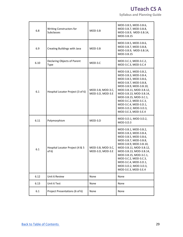**Syllabus and Planning Guide** 

| 6.8  | Writing Constructors for<br>Subclasses   | $MOD-3.B$                             | MOD-3.B.5, MOD-3.B.6,<br>MOD-3.B.7, MOD-3.B.8,<br>MOD-3.B.9, MOD-3.B.14,<br>MOD-3.B.15                                                                                                                                                                                                                        |
|------|------------------------------------------|---------------------------------------|---------------------------------------------------------------------------------------------------------------------------------------------------------------------------------------------------------------------------------------------------------------------------------------------------------------|
| 6.9  | Creating Buildings with Java             | $MOD-3.B$                             | MOD-3.B.5, MOD-3.B.6,<br>MOD-3.B.7, MOD-3.B.8,<br>MOD-3.B.9, MOD-3.B.14,<br>MOD-3.B.15                                                                                                                                                                                                                        |
| 6.10 | Declaring Objects of Parent<br>Type      | MOD-3.C                               | MOD-3.C.1, MOD-3.C.2,<br>MOD-3.C.3, MOD-3.C.4                                                                                                                                                                                                                                                                 |
| 6.1  | Hospital Locator Project (3 of 6)        | MOD-3.B, MOD-3.C,<br>MOD-3.D, MOD-3.E | MOD-3.B.1, MOD-3.B.2,<br>MOD-3.B.3, MOD-3.B.4,<br>MOD-3.B.5, MOD-3.B.6,<br>MOD-3.B.7, MOD-3.B.8,<br>MOD-3.B.9, MOD-3.B.10,<br>MOD-3.B.11, MOD-3.B.12,<br>MOD-3.B.13, MOD-3.B.14,<br>MOD-3.B.15, MOD-3.C.1,<br>MOD-3.C.2, MOD-3.C.3,<br>MOD-3.C.4, MOD-3.D.1,<br>MOD-3.D.2, MOD-3.D.3,<br>MOD-3.E.3, MOD-3.E.4 |
| 6.11 | Polymorphism                             | MOD-3.D                               | MOD-3.D.1, MOD-3.D.2,<br>MOD-3.D.3                                                                                                                                                                                                                                                                            |
| 6.1  | Hospital Locator Project (4 & 5<br>of 6) | MOD-3.B, MOD-3.C,<br>MOD-3.D, MOD-3.E | MOD-3.B.1, MOD-3.B.2,<br>MOD-3.B.3, MOD-3.B.4,<br>MOD-3.B.5, MOD-3.B.6,<br>MOD-3.B.7, MOD-3.B.8,<br>MOD-3.B.9, MOD-3.B.10,<br>MOD-3.B.11, MOD-3.B.12,<br>MOD-3.B.13, MOD-3.B.14,<br>MOD-3.B.15, MOD-3.C.1,<br>MOD-3.C.2, MOD-3.C.3,<br>MOD-3.C.4, MOD-3.D.1,<br>MOD-3.D.2, MOD-3.D.3,<br>MOD-3.E.3, MOD-3.E.4 |
| 6.12 | Unit 6 Review                            | None                                  | None                                                                                                                                                                                                                                                                                                          |
| 6.13 | Unit 6 Test                              | None                                  | None                                                                                                                                                                                                                                                                                                          |
| 6.1  | Project Presentations (6 of 6)           | None                                  | None                                                                                                                                                                                                                                                                                                          |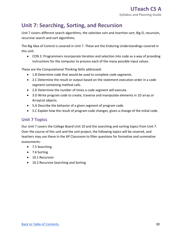## **Unit 7: Searching, Sorting, and Recursion**

 Unit 7 covers different search algorithms, the selection sort and insertion sort, Big O, recursion, recursive search and sort algorithms.

 The Big Idea of Control is covered in Unit 7. These are the Enduring Understandings covered in this unit:

 • CON 2: Programmers incorporate iteration and selection into code as a way of providing instructions for the computer to process each of the many possible input values.

These are the Computational Thinking Skills addressed:

- 1.B Determine code that would be used to complete code segments.
- • 2.C Determine the result or output based on the statement execution order in a code segment containing method calls.
- 2.D Determine the number of times a code segment will execute.
- • 3.D Write program code to create, traverse and manipulate elements in 1D array or ArrayList objects.
- 5.A Describe the behavior of a given segment of program code.
- 5.C Explain how the result of program code changes, given a change of the initial code.

## **Unit 7 Topics**

 Our Unit 7 covers the College Board Unit 10 and the searching and sorting topics from Unit 7. Over the course of this unit and the unit project, the following topics will be covered, and teachers may use these in the AP Classroom to filter questions for formative and summative assessments:

- 7.5 Searching
- 7.6 Sorting
- 10.1 Recursion
- 10.2 Recursive Searching and Sorting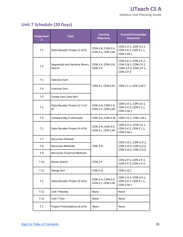## **Unit 7 Schedule (20 Days)**

| <b>Assignment</b><br># | <b>Topic</b>                              | <b>Learning</b><br><b>Objectives</b>  | <b>Essential Knowledge</b><br><b>Statement</b>                                       |
|------------------------|-------------------------------------------|---------------------------------------|--------------------------------------------------------------------------------------|
| 7.1                    | Data Decoder Project (1 of 6)             | CON-2.H, CON-2.K,<br>CON-2.L, CON-2.M | CON-2.H.1, CON-2.K.1,<br>CON-2.K.2, CON-2.L.1,<br>CON-2.M.1                          |
| 7.2                    | Sequential and Iterative Binary<br>Search | CON-2.K, CON-2.N,<br>$CON-2.P$        | CON-2.K.1, CON-2.K.2,<br>CON-2.N.1, CON-2.P.1,<br>COM-2.P.2, CON-2.P.3,<br>CON-2.P.4 |
| 7.3                    | Selection Sort                            |                                       |                                                                                      |
| 7.4                    | <b>Insertion Sort</b>                     | CON-2.L, CON-2.M                      | CON-2.L.1, CON-2.M.1                                                                 |
| 7.5                    | Create Your Own Sort                      |                                       |                                                                                      |
| 7.1                    | Data Decoder Project (2-3 of<br>6)        | CON-2.H, CON-2.K,<br>CON-2.L, CON-2.M | CON-2.H.1, CON-2.K.1,<br>CON-2.K.2, CON-2.L.1,<br>CON-2.M.1                          |
| 7.6                    | Compare Big O Informally                  | CON-2.H, CON-2.M                      | CON-2.H.1, CON-2.M.1                                                                 |
| 7.1                    | Data Decoder Project (4 of 6)             | CON-2.H, CON-2.K,<br>CON-2.L, CON-2.M | CON-2.H.1, CON-2.K.1,<br>CON-2.K.2, CON-2.L.1,<br>CON-2.M.1                          |
| 7.7                    | <b>Recursion Defined</b>                  |                                       |                                                                                      |
| 7.8                    | <b>Recursive Methods</b>                  | <b>CON-2.0</b>                        | CON-2.0.1, CON-2.0.2,<br>CON-2.0.3, CON-2.0.4,                                       |
| 7.9                    | <b>Recursive Traversal Methods</b>        |                                       | CON-2.0.5, CON-2.0.6                                                                 |
| 7.10                   | <b>Binary Search</b>                      | CON-2.P                               | CON-2.P.1, CON-2.P.2,<br>CON-2.P.3, CON-2.P.4                                        |
| 7.11                   | Merge Sort                                | $CON-2.Q$                             | CON-2.Q.1                                                                            |
| 7.1                    | Data Decoder Project (5 of 6)             | CON-2.H, CON-2.K,<br>CON-2.L, CON-2.M | CON-2.H.1, CON-2.K.1,<br>CON-2.K.2, CON-2.L.1,<br>CON-2.M.1                          |
| 7.12                   | Unit 7 Review                             | None                                  | None                                                                                 |
| 7.13                   | Unit 7 Test                               | None                                  | None                                                                                 |
| 7.1                    | Project Presentations (6 of 6)            | None                                  | None                                                                                 |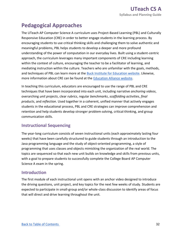## **Pedagogical Approaches**

 The UTeach AP Computer Science A curriculum uses Project-Based Learning (PBL) and Culturally Responsive Education (CRE) in order to better engage students in the learning process. By encouraging students to use critical thinking skills and challenging them to solve authentic and meaningful problems, PBL helps students to develop a deeper and more profound understanding of the power of computation in our everyday lives. Built using a student-centric approach, the curriculum leverages many important components of CRE including learning within the context of culture, encouraging the teacher to be a facilitator of learning, and mediating instruction within the culture. Teachers who are unfamiliar with the goals, methods, and techniques of PBL can learn more at the **Buck Institute for Education website**. Likewise, more information about CRE can be found at the **Education Alliance website**.

 In teaching this curriculum, educators are encouraged to use the range of PBL and CRE techniques that have been incorporated into each unit, including narrative *anchoring videos*, *products*, and *reflection*. Used together in a coherent, unified manner that actively engages students in the educational process, PBL and CRE strategies can improve comprehension and retention and help students develop stronger problem-solving, critical-thinking, and group overarching *unit projects*, clear *rubrics*, regular *benchmarks*, *scaffolding activities*, *final*  communication skills.

### **Instructional Sequencing**

 The year-long curriculum consists of seven instructional units (each approximately lasting four weeks) that have been carefully structured to guide students through an introduction to the Java programming language and the study of object-oriented programming, a style of programming that uses classes and objects mimicking the organization of the real world. The topics are sequenced so that each new unit builds on knowledge and skills from previous units, with a goal to prepare students to successfully complete the College Board AP Computer Science A exam in the spring.

#### **Introduction**

 The first module of each instructional unit opens with an anchor video designed to introduce the driving questions, unit project, and key topics for the next few weeks of study. Students are expected to participate in small-group and/or whole-class discussion to identify areas of focus that will direct and drive learning throughout the unit.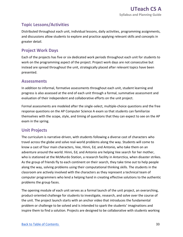## **Topic Lessons/Activities**

 and discussions allow students to explore and practice applying relevant skills and concepts in Distributed throughout each unit, individual lessons, daily activities, programming assignments, greater detail.

## **Project Work Days**

 Each of the projects has five or six dedicated work periods throughout each unit for students to work on the programming aspect of the project. Project work days are not consecutive but instead are spread throughout the unit, strategically placed after relevant topics have been presented.

#### **Assessments**

 In addition to informal, formative assessments throughout each unit, student learning and progress is also assessed at the end of each unit through a formal, summative assessment and evaluation of their independent and collaborative efforts on the unit project.

 Formal assessments are modeled after the single-select, multiple-choice questions and the free response questions on the AP Computer Science A exam so that students can familiarize themselves with the scope, style, and timing of questions that they can expect to see on the AP exam in the spring.

### **Unit Projects**

 The curriculum is narrative-driven, with students following a diverse cast of characters who travel across the globe and solve real-world problems along the way. Students will come to know a cast of four main characters, Vee, Hinni, Ed, and Antonio, who take them on an adventure around the world. Hinni, Ed, and Antonio are helping Vee search for her mother, who is stationed at the McMurdo Station, a research facility in Antarctica, when disaster strikes. As the group of friends fly to each continent on their search, they take time out to help people along the way, solving problems using their computational thinking skills. The students in the classroom are actively involved with the characters as they represent a technical team of computer programmers who lend a helping hand in creating effective solutions to the authentic problems the group faces.

 The opening module of each unit serves as a formal launch of the unit project, an overarching, product-oriented challenge for students to investigate, research, and solve over the course of the unit. The project launch starts with an anchor video that introduces the fundamental problem or challenge to be solved and is intended to spark the students' imaginations and inspire them to find a solution. Projects are designed to be collaborative with students working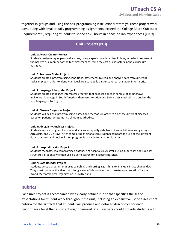together in groups and using the pair programming instructional strategy. These project work days, along with smaller daily programming assignments, exceed the College Board Curricular Requirement 9, requiring students to spend at 20 hours in hands-on lab experiences [CR-9].

#### **- Unit Projects [CR 9]**

#### **Unit 1: Avatar Creator Project**

Students design unique, personal avatars, using a special graphics class in Java, in order to represent themselves as a member of the technical team assisting the cast of characters in the curriculum narrative.

#### **Unit 2: Resource Finder Project**

 rock samples in order to identify an ideal area to rebuild a science research station in Antarctica. Students create a program using conditional statements to read and analyze data from different

#### **Unit 3: Language Interpreter Project**

Students create a language interpreter program that collects a speech sample of an unknown indigenous language in South America, then uses iteration and String class methods to translate the new language into English.

#### **Unit 4: Disease Diagnoser Project**

Students will design a program using classes and methods in order to diagnose different diseases based on patient symptoms in a clinic in South Africa.

#### **Unit 5: Air Quality Analyzer Project**

Students write a program to store and analyze air quality data from cities in Sri Lanka using arrays, ArrayLists, and 2D arrays. After completing their analysis, students compare the use of the different data structures and decide if their program is scalable for a larger data set.

#### **Unit 6: Hospital Locator Project**

Students reconstruct a compromised database of hospitals in Australia using superclass and subclass structures. Students will then use a clue to search for a specific hospital.

#### **Unit 7: Data Decoder Project**

Students write a program that uses searching and sorting algorithms to analyze climate change data. They must optimize the algorithms for greater efficiency in order to create a presentation for the World Meteorological Organization in Switzerland.

#### **Rubrics**

 Each unit project is accompanied by a clearly defined rubric that specifies the set of expectations for student work throughout the unit, including an exhaustive list of assessment criteria for the artifacts that students will produce and detailed descriptors for each performance level that a student might demonstrate. Teachers should provide students with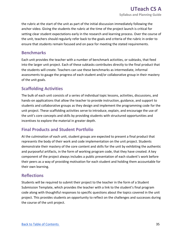the rubric at the start of the unit as part of the initial discussion immediately following the anchor video. Giving the students the rubric at the time of the project launch is critical for setting clear student expectations early in the research and learning process. Over the course of the unit, teachers should regularly refer back to the goals and criteria of the rubric in order to ensure that students remain focused and on pace for meeting the stated requirements.

#### **Benchmarks**

 Each unit provides the teacher with a number of benchmark activities, or subtasks, that feed into the larger unit project. Each of these subtasks contributes directly to the final product that the students will create. Teachers can use these benchmarks as intermediate, informal assessments to gauge the progress of each student and/or collaborative group in their mastery of the unit goals.

### **Scaffolding Activities**

 The bulk of each unit consists of a series of individual topic lessons, activities, discussions, and hands-on applications that allow the teacher to provide instruction, guidance, and support to students and collaborative groups as they design and implement the programming code for the unit project. These scaffolding activities serve to introduce, explain, and encourage the use of the unit's core concepts and skills by providing students with structured opportunities and incentives to explore the material in greater depth.

## **Final Products and Student Portfolio**

 At the culmination of each unit, student groups are expected to present a final product that represents the body of their work and code implementation on the unit project. Students demonstrate their mastery of the core content and skills for the unit by exhibiting the authentic and purposeful artifacts, in the form of working program code, that they have created. A key component of the project always includes a public presentation of each student's work before their peers as a way of providing motivation for each student and holding them accountable for their own learning.

#### **Reflections**

 Students will be required to submit their project to the teacher in the form of a Student Submission Template, which provides the teacher with a link to the student's final program code along with thoughtful responses to specific questions about the topics covered in the unit project. This provides students an opportunity to reflect on the challenges and successes during the course of the unit project.